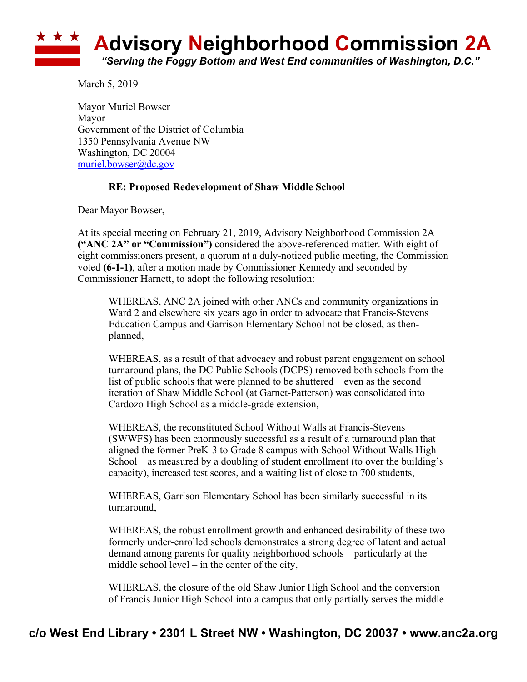

March 5, 2019

Mayor Muriel Bowser Mayor Government of the District of Columbia 1350 Pennsylvania Avenue NW Washington, DC 20004 muriel.bowser@dc.gov

## **RE: Proposed Redevelopment of Shaw Middle School**

Dear Mayor Bowser,

At its special meeting on February 21, 2019, Advisory Neighborhood Commission 2A **("ANC 2A" or "Commission")** considered the above-referenced matter. With eight of eight commissioners present, a quorum at a duly-noticed public meeting, the Commission voted **(6-1-1)**, after a motion made by Commissioner Kennedy and seconded by Commissioner Harnett, to adopt the following resolution:

WHEREAS, ANC 2A joined with other ANCs and community organizations in Ward 2 and elsewhere six years ago in order to advocate that Francis-Stevens Education Campus and Garrison Elementary School not be closed, as thenplanned,

WHEREAS, as a result of that advocacy and robust parent engagement on school turnaround plans, the DC Public Schools (DCPS) removed both schools from the list of public schools that were planned to be shuttered – even as the second iteration of Shaw Middle School (at Garnet-Patterson) was consolidated into Cardozo High School as a middle-grade extension,

WHEREAS, the reconstituted School Without Walls at Francis-Stevens (SWWFS) has been enormously successful as a result of a turnaround plan that aligned the former PreK-3 to Grade 8 campus with School Without Walls High School – as measured by a doubling of student enrollment (to over the building's capacity), increased test scores, and a waiting list of close to 700 students,

WHEREAS, Garrison Elementary School has been similarly successful in its turnaround,

WHEREAS, the robust enrollment growth and enhanced desirability of these two formerly under-enrolled schools demonstrates a strong degree of latent and actual demand among parents for quality neighborhood schools – particularly at the middle school level – in the center of the city,

WHEREAS, the closure of the old Shaw Junior High School and the conversion of Francis Junior High School into a campus that only partially serves the middle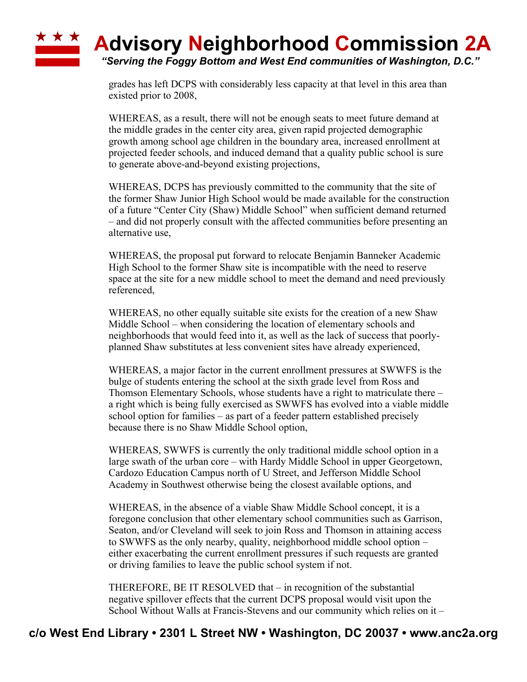## **\* \* \* Advisory Neighborhood Commission 2A**

*"Serving the Foggy Bottom and West End communities of Washington, D.C."*

grades has left DCPS with considerably less capacity at that level in this area than existed prior to 2008,

WHEREAS, as a result, there will not be enough seats to meet future demand at the middle grades in the center city area, given rapid projected demographic growth among school age children in the boundary area, increased enrollment at projected feeder schools, and induced demand that a quality public school is sure to generate above-and-beyond existing projections,

WHEREAS, DCPS has previously committed to the community that the site of the former Shaw Junior High School would be made available for the construction of a future "Center City (Shaw) Middle School" when sufficient demand returned – and did not properly consult with the affected communities before presenting an alternative use,

WHEREAS, the proposal put forward to relocate Benjamin Banneker Academic High School to the former Shaw site is incompatible with the need to reserve space at the site for a new middle school to meet the demand and need previously referenced,

WHEREAS, no other equally suitable site exists for the creation of a new Shaw Middle School – when considering the location of elementary schools and neighborhoods that would feed into it, as well as the lack of success that poorlyplanned Shaw substitutes at less convenient sites have already experienced,

WHEREAS, a major factor in the current enrollment pressures at SWWFS is the bulge of students entering the school at the sixth grade level from Ross and Thomson Elementary Schools, whose students have a right to matriculate there – a right which is being fully exercised as SWWFS has evolved into a viable middle school option for families – as part of a feeder pattern established precisely because there is no Shaw Middle School option,

WHEREAS, SWWFS is currently the only traditional middle school option in a large swath of the urban core – with Hardy Middle School in upper Georgetown, Cardozo Education Campus north of U Street, and Jefferson Middle School Academy in Southwest otherwise being the closest available options, and

WHEREAS, in the absence of a viable Shaw Middle School concept, it is a foregone conclusion that other elementary school communities such as Garrison, Seaton, and/or Cleveland will seek to join Ross and Thomson in attaining access to SWWFS as the only nearby, quality, neighborhood middle school option – either exacerbating the current enrollment pressures if such requests are granted or driving families to leave the public school system if not.

THEREFORE, BE IT RESOLVED that – in recognition of the substantial negative spillover effects that the current DCPS proposal would visit upon the School Without Walls at Francis-Stevens and our community which relies on it –

## **c/o West End Library • 2301 L Street NW • Washington, DC 20037 • www.anc2a.org**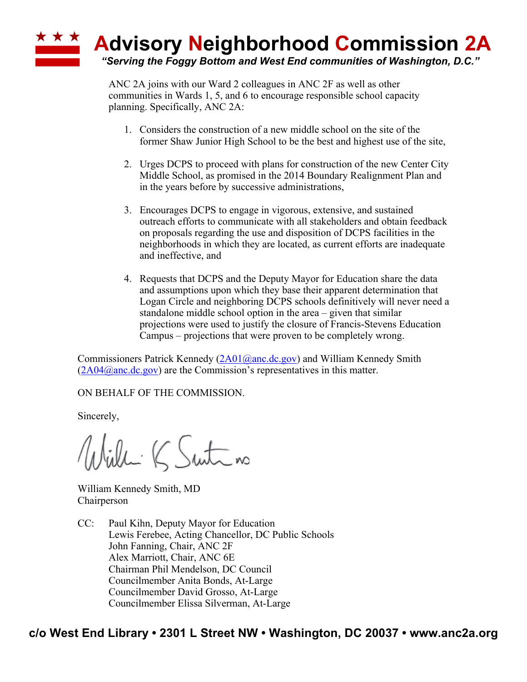

ANC 2A joins with our Ward 2 colleagues in ANC 2F as well as other communities in Wards 1, 5, and 6 to encourage responsible school capacity planning. Specifically, ANC 2A:

- 1. Considers the construction of a new middle school on the site of the former Shaw Junior High School to be the best and highest use of the site,
- 2. Urges DCPS to proceed with plans for construction of the new Center City Middle School, as promised in the 2014 Boundary Realignment Plan and in the years before by successive administrations,
- 3. Encourages DCPS to engage in vigorous, extensive, and sustained outreach efforts to communicate with all stakeholders and obtain feedback on proposals regarding the use and disposition of DCPS facilities in the neighborhoods in which they are located, as current efforts are inadequate and ineffective, and
- 4. Requests that DCPS and the Deputy Mayor for Education share the data and assumptions upon which they base their apparent determination that Logan Circle and neighboring DCPS schools definitively will never need a standalone middle school option in the area – given that similar projections were used to justify the closure of Francis-Stevens Education Campus – projections that were proven to be completely wrong.

Commissioners Patrick Kennedy  $(2A01@anc.de.gov)$  and William Kennedy Smith  $(2A04@anc.de.gov)$  are the Commission's representatives in this matter.

ON BEHALF OF THE COMMISSION.

Sincerely,

Willi K Suite no

William Kennedy Smith, MD Chairperson

CC: Paul Kihn, Deputy Mayor for Education Lewis Ferebee, Acting Chancellor, DC Public Schools John Fanning, Chair, ANC 2F Alex Marriott, Chair, ANC 6E Chairman Phil Mendelson, DC Council Councilmember Anita Bonds, At-Large Councilmember David Grosso, At-Large Councilmember Elissa Silverman, At-Large